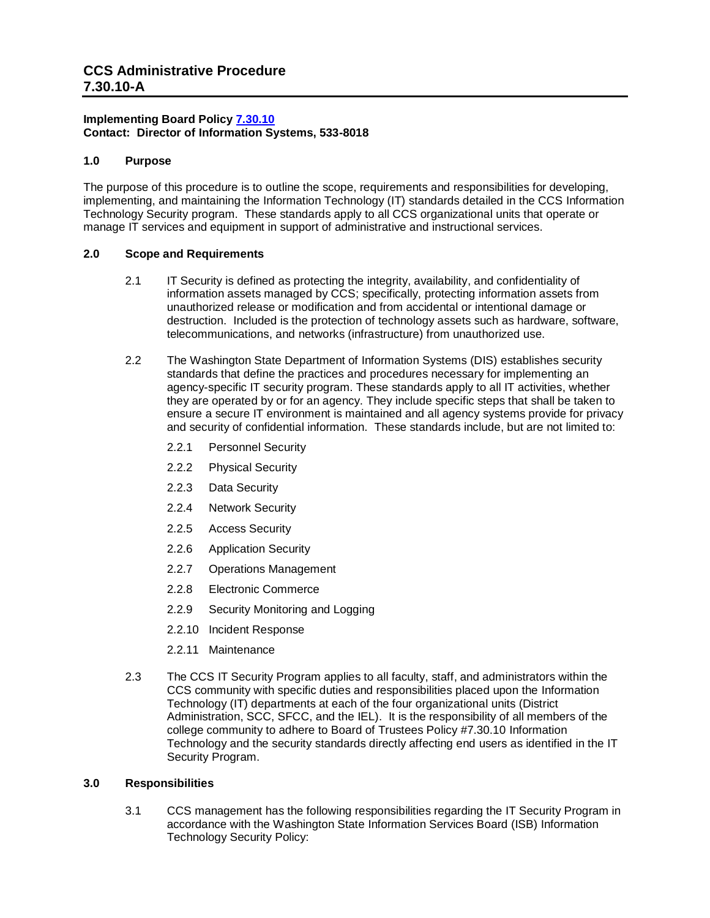# **CCS Administrative Procedure 7.30.10-A**

## **Implementing Board Policy [7.30.10](https://ccs.spokane.edu/About-Us/Leadership/Board-of-Trustees/Policies-Procedures/Chapter7#AccWE2-5) Contact: Director of Information Systems, 533-8018**

## **1.0 Purpose**

The purpose of this procedure is to outline the scope, requirements and responsibilities for developing, implementing, and maintaining the Information Technology (IT) standards detailed in the CCS Information Technology Security program. These standards apply to all CCS organizational units that operate or manage IT services and equipment in support of administrative and instructional services.

## **2.0 Scope and Requirements**

- 2.1 IT Security is defined as protecting the integrity, availability, and confidentiality of information assets managed by CCS; specifically, protecting information assets from unauthorized release or modification and from accidental or intentional damage or destruction. Included is the protection of technology assets such as hardware, software, telecommunications, and networks (infrastructure) from unauthorized use.
- 2.2 The Washington State Department of Information Systems (DIS) establishes security standards that define the practices and procedures necessary for implementing an agency-specific IT security program. These standards apply to all IT activities, whether they are operated by or for an agency. They include specific steps that shall be taken to ensure a secure IT environment is maintained and all agency systems provide for privacy and security of confidential information. These standards include, but are not limited to:
	- 2.2.1 Personnel Security
	- 2.2.2 Physical Security
	- 2.2.3 Data Security
	- 2.2.4 Network Security
	- 2.2.5 Access Security
	- 2.2.6 Application Security
	- 2.2.7 Operations Management
	- 2.2.8 Electronic Commerce
	- 2.2.9 Security Monitoring and Logging
	- 2.2.10 Incident Response
	- 2.2.11 Maintenance
- 2.3 The CCS IT Security Program applies to all faculty, staff, and administrators within the CCS community with specific duties and responsibilities placed upon the Information Technology (IT) departments at each of the four organizational units (District Administration, SCC, SFCC, and the IEL). It is the responsibility of all members of the college community to adhere to Board of Trustees Policy #7.30.10 Information Technology and the security standards directly affecting end users as identified in the IT Security Program.

## **3.0 Responsibilities**

3.1 CCS management has the following responsibilities regarding the IT Security Program in accordance with the Washington State Information Services Board (ISB) Information Technology Security Policy: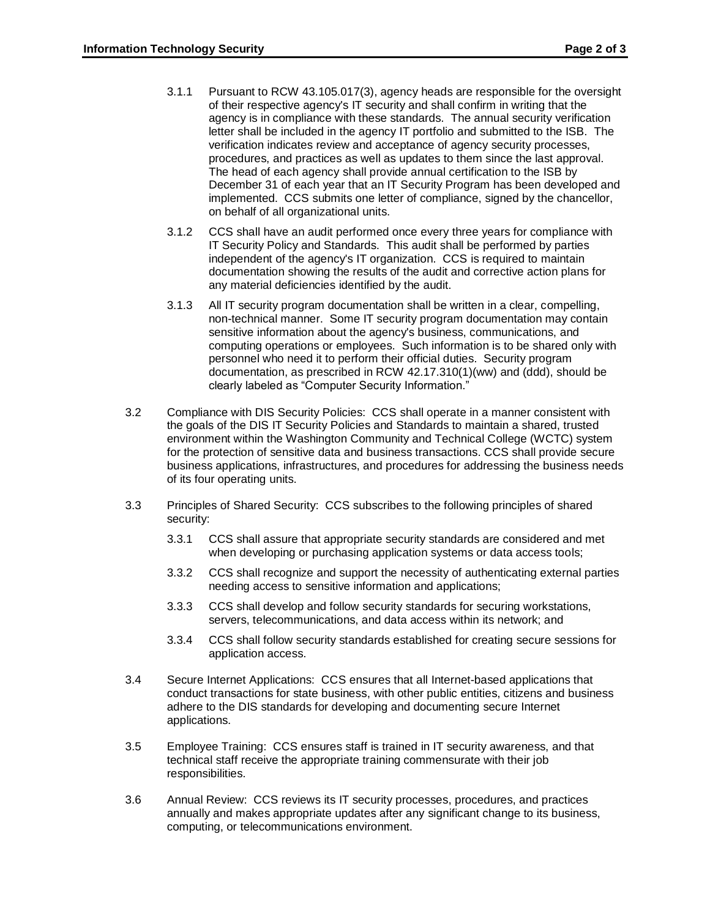- 3.1.1 Pursuant to RCW 43.105.017(3), agency heads are responsible for the oversight of their respective agency's IT security and shall confirm in writing that the agency is in compliance with these standards. The annual security verification letter shall be included in the agency IT portfolio and submitted to the ISB. The verification indicates review and acceptance of agency security processes, procedures, and practices as well as updates to them since the last approval. The head of each agency shall provide annual certification to the ISB by December 31 of each year that an IT Security Program has been developed and implemented. CCS submits one letter of compliance, signed by the chancellor, on behalf of all organizational units.
- 3.1.2 CCS shall have an audit performed once every three years for compliance with IT Security Policy and Standards. This audit shall be performed by parties independent of the agency's IT organization. CCS is required to maintain documentation showing the results of the audit and corrective action plans for any material deficiencies identified by the audit.
- 3.1.3 All IT security program documentation shall be written in a clear, compelling, non-technical manner. Some IT security program documentation may contain sensitive information about the agency's business, communications, and computing operations or employees. Such information is to be shared only with personnel who need it to perform their official duties. Security program documentation, as prescribed in RCW 42.17.310(1)(ww) and (ddd), should be clearly labeled as "Computer Security Information."
- 3.2 Compliance with DIS Security Policies: CCS shall operate in a manner consistent with the goals of the DIS IT Security Policies and Standards to maintain a shared, trusted environment within the Washington Community and Technical College (WCTC) system for the protection of sensitive data and business transactions. CCS shall provide secure business applications, infrastructures, and procedures for addressing the business needs of its four operating units.
- 3.3 Principles of Shared Security: CCS subscribes to the following principles of shared security:
	- 3.3.1 CCS shall assure that appropriate security standards are considered and met when developing or purchasing application systems or data access tools;
	- 3.3.2 CCS shall recognize and support the necessity of authenticating external parties needing access to sensitive information and applications;
	- 3.3.3 CCS shall develop and follow security standards for securing workstations, servers, telecommunications, and data access within its network; and
	- 3.3.4 CCS shall follow security standards established for creating secure sessions for application access.
- 3.4 Secure Internet Applications: CCS ensures that all Internet-based applications that conduct transactions for state business, with other public entities, citizens and business adhere to the DIS standards for developing and documenting secure Internet applications.
- 3.5 Employee Training: CCS ensures staff is trained in IT security awareness, and that technical staff receive the appropriate training commensurate with their job responsibilities.
- 3.6 Annual Review: CCS reviews its IT security processes, procedures, and practices annually and makes appropriate updates after any significant change to its business, computing, or telecommunications environment.